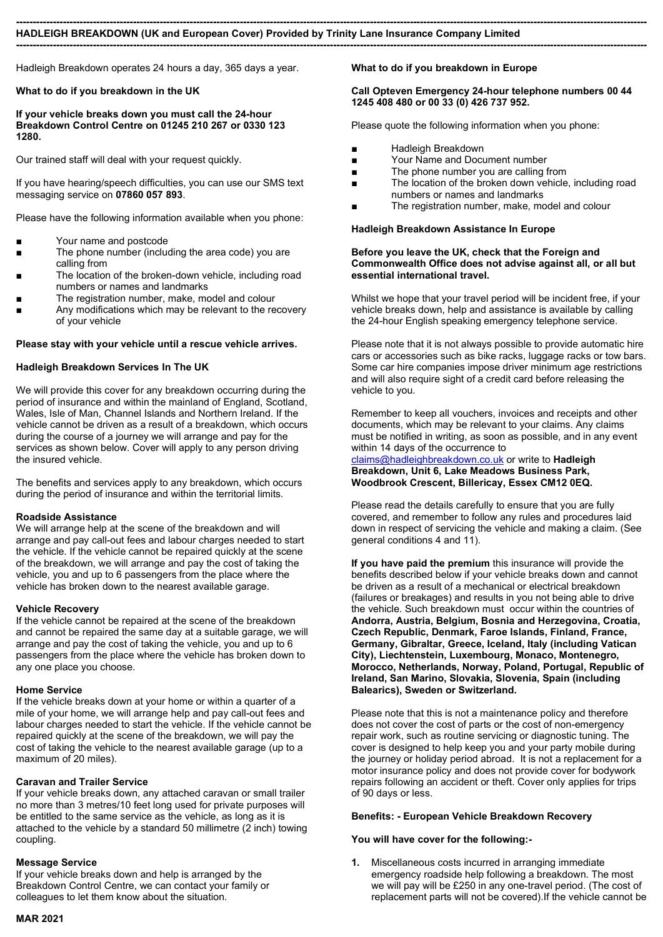#### --------------------------------------------------------------------------------------------------------------------------------------------------------------------------------------------- HADLEIGH BREAKDOWN (UK and European Cover) Provided by Trinity Lane Insurance Company Limited

---------------------------------------------------------------------------------------------------------------------------------------------------------------------------------------------

Hadleigh Breakdown operates 24 hours a day, 365 days a year.

#### What to do if you breakdown in the UK

If your vehicle breaks down you must call the 24-hour Breakdown Control Centre on 01245 210 267 or 0330 123 1280.

Our trained staff will deal with your request quickly.

If you have hearing/speech difficulties, you can use our SMS text messaging service on 07860 057 893.

Please have the following information available when you phone:

- Your name and postcode
- The phone number (including the area code) you are calling from
- The location of the broken-down vehicle, including road numbers or names and landmarks
- The registration number, make, model and colour
- Any modifications which may be relevant to the recovery of your vehicle

#### Please stay with your vehicle until a rescue vehicle arrives.

#### Hadleigh Breakdown Services In The UK

We will provide this cover for any breakdown occurring during the period of insurance and within the mainland of England, Scotland, Wales, Isle of Man, Channel Islands and Northern Ireland. If the vehicle cannot be driven as a result of a breakdown, which occurs during the course of a journey we will arrange and pay for the services as shown below. Cover will apply to any person driving the insured vehicle.

The benefits and services apply to any breakdown, which occurs during the period of insurance and within the territorial limits.

#### Roadside Assistance

We will arrange help at the scene of the breakdown and will arrange and pay call-out fees and labour charges needed to start the vehicle. If the vehicle cannot be repaired quickly at the scene of the breakdown, we will arrange and pay the cost of taking the vehicle, you and up to 6 passengers from the place where the vehicle has broken down to the nearest available garage.

#### Vehicle Recovery

If the vehicle cannot be repaired at the scene of the breakdown and cannot be repaired the same day at a suitable garage, we will arrange and pay the cost of taking the vehicle, you and up to 6 passengers from the place where the vehicle has broken down to any one place you choose.

#### Home Service

If the vehicle breaks down at your home or within a quarter of a mile of your home, we will arrange help and pay call-out fees and labour charges needed to start the vehicle. If the vehicle cannot be repaired quickly at the scene of the breakdown, we will pay the cost of taking the vehicle to the nearest available garage (up to a maximum of 20 miles).

#### Caravan and Trailer Service

If your vehicle breaks down, any attached caravan or small trailer no more than 3 metres/10 feet long used for private purposes will be entitled to the same service as the vehicle, as long as it is attached to the vehicle by a standard 50 millimetre (2 inch) towing coupling.

#### Message Service

If your vehicle breaks down and help is arranged by the Breakdown Control Centre, we can contact your family or colleagues to let them know about the situation.

### MAR 2021

#### What to do if you breakdown in Europe

#### Call Opteven Emergency 24-hour telephone numbers 00 44 1245 408 480 or 00 33 (0) 426 737 952.

Please quote the following information when you phone:

- Hadleigh Breakdown
- Your Name and Document number
- The phone number you are calling from
- The location of the broken down vehicle, including road numbers or names and landmarks
- The registration number, make, model and colour

#### Hadleigh Breakdown Assistance In Europe

#### Before you leave the UK, check that the Foreign and Commonwealth Office does not advise against all, or all but essential international travel.

Whilst we hope that your travel period will be incident free, if your vehicle breaks down, help and assistance is available by calling the 24-hour English speaking emergency telephone service.

Please note that it is not always possible to provide automatic hire cars or accessories such as bike racks, luggage racks or tow bars. Some car hire companies impose driver minimum age restrictions and will also require sight of a credit card before releasing the vehicle to you.

Remember to keep all vouchers, invoices and receipts and other documents, which may be relevant to your claims. Any claims must be notified in writing, as soon as possible, and in any event within 14 days of the occurrence to

claims@hadleighbreakdown.co.uk or write to Hadleigh Breakdown, Unit 6, Lake Meadows Business Park, Woodbrook Crescent, Billericay, Essex CM12 0EQ.

Please read the details carefully to ensure that you are fully covered, and remember to follow any rules and procedures laid down in respect of servicing the vehicle and making a claim. (See general conditions 4 and 11).

If you have paid the premium this insurance will provide the benefits described below if your vehicle breaks down and cannot be driven as a result of a mechanical or electrical breakdown (failures or breakages) and results in you not being able to drive the vehicle. Such breakdown must occur within the countries of Andorra, Austria, Belgium, Bosnia and Herzegovina, Croatia, Czech Republic, Denmark, Faroe Islands, Finland, France, Germany, Gibraltar, Greece, Iceland, Italy (including Vatican City), Liechtenstein, Luxembourg, Monaco, Montenegro, Morocco, Netherlands, Norway, Poland, Portugal, Republic of Ireland, San Marino, Slovakia, Slovenia, Spain (including Balearics), Sweden or Switzerland.

Please note that this is not a maintenance policy and therefore does not cover the cost of parts or the cost of non-emergency repair work, such as routine servicing or diagnostic tuning. The cover is designed to help keep you and your party mobile during the journey or holiday period abroad. It is not a replacement for a motor insurance policy and does not provide cover for bodywork repairs following an accident or theft. Cover only applies for trips of 90 days or less.

#### Benefits: - European Vehicle Breakdown Recovery

#### You will have cover for the following:-

1. Miscellaneous costs incurred in arranging immediate emergency roadside help following a breakdown. The most we will pay will be £250 in any one-travel period. (The cost of replacement parts will not be covered).If the vehicle cannot be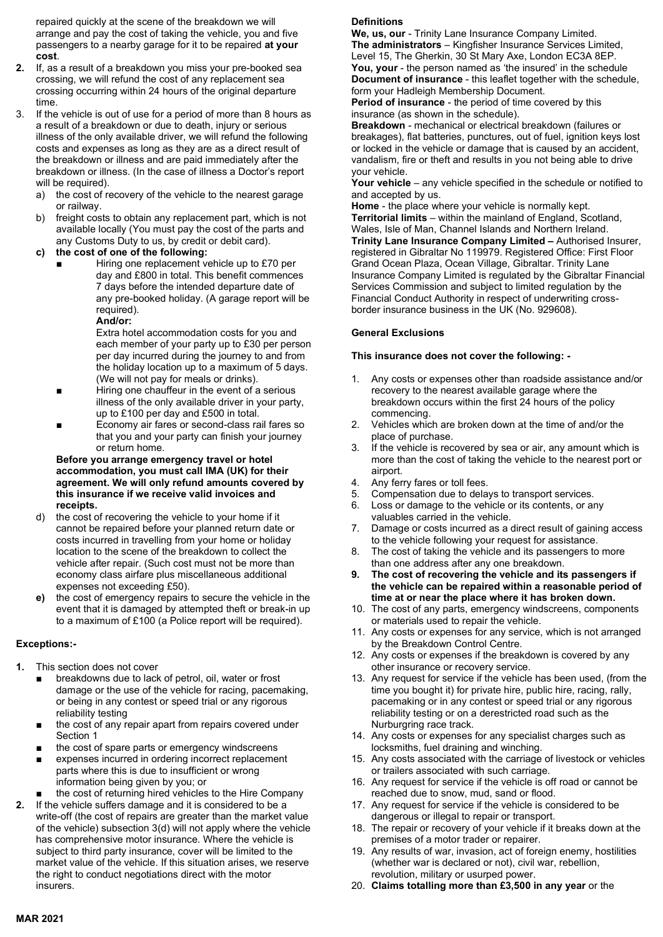repaired quickly at the scene of the breakdown we will arrange and pay the cost of taking the vehicle, you and five passengers to a nearby garage for it to be repaired at your cost.

- 2. If, as a result of a breakdown you miss your pre-booked sea crossing, we will refund the cost of any replacement sea crossing occurring within 24 hours of the original departure time.
- 3. If the vehicle is out of use for a period of more than 8 hours as a result of a breakdown or due to death, injury or serious illness of the only available driver, we will refund the following costs and expenses as long as they are as a direct result of the breakdown or illness and are paid immediately after the breakdown or illness. (In the case of illness a Doctor's report will be required).
	- a) the cost of recovery of the vehicle to the nearest garage or railway.
	- b) freight costs to obtain any replacement part, which is not available locally (You must pay the cost of the parts and any Customs Duty to us, by credit or debit card).
	- c) the cost of one of the following:
		- Hiring one replacement vehicle up to £70 per day and £800 in total. This benefit commences 7 days before the intended departure date of any pre-booked holiday. (A garage report will be required).

And/or:

Extra hotel accommodation costs for you and each member of your party up to £30 per person per day incurred during the journey to and from the holiday location up to a maximum of 5 days. (We will not pay for meals or drinks).

- Hiring one chauffeur in the event of a serious illness of the only available driver in your party, up to £100 per day and £500 in total.
- Economy air fares or second-class rail fares so that you and your party can finish your journey or return home.

#### Before you arrange emergency travel or hotel accommodation, you must call IMA (UK) for their agreement. We will only refund amounts covered by this insurance if we receive valid invoices and receipts.

- d) the cost of recovering the vehicle to your home if it cannot be repaired before your planned return date or costs incurred in travelling from your home or holiday location to the scene of the breakdown to collect the vehicle after repair. (Such cost must not be more than economy class airfare plus miscellaneous additional expenses not exceeding £50).
- e) the cost of emergency repairs to secure the vehicle in the event that it is damaged by attempted theft or break-in up to a maximum of £100 (a Police report will be required).

## Exceptions:-

- 1. This section does not cover
	- breakdowns due to lack of petrol, oil, water or frost damage or the use of the vehicle for racing, pacemaking, or being in any contest or speed trial or any rigorous reliability testing
	- the cost of any repair apart from repairs covered under Section 1
	- the cost of spare parts or emergency windscreens
	- expenses incurred in ordering incorrect replacement parts where this is due to insufficient or wrong information being given by you; or
	- the cost of returning hired vehicles to the Hire Company
- 2. If the vehicle suffers damage and it is considered to be a write-off (the cost of repairs are greater than the market value of the vehicle) subsection 3(d) will not apply where the vehicle has comprehensive motor insurance. Where the vehicle is subject to third party insurance, cover will be limited to the market value of the vehicle. If this situation arises, we reserve the right to conduct negotiations direct with the motor insurers.

## **Definitions**

We, us, our - Trinity Lane Insurance Company Limited. The administrators – Kingfisher Insurance Services Limited, Level 15, The Gherkin, 30 St Mary Axe, London EC3A 8EP. You, your - the person named as 'the insured' in the schedule Document of insurance - this leaflet together with the schedule, form your Hadleigh Membership Document.

Period of insurance - the period of time covered by this insurance (as shown in the schedule).

Breakdown - mechanical or electrical breakdown (failures or breakages), flat batteries, punctures, out of fuel, ignition keys lost or locked in the vehicle or damage that is caused by an accident, vandalism, fire or theft and results in you not being able to drive your vehicle.

Your vehicle – any vehicle specified in the schedule or notified to and accepted by us.

Home - the place where your vehicle is normally kept. Territorial limits – within the mainland of England, Scotland, Wales, Isle of Man, Channel Islands and Northern Ireland. Trinity Lane Insurance Company Limited – Authorised Insurer, registered in Gibraltar No 119979. Registered Office: First Floor Grand Ocean Plaza, Ocean Village, Gibraltar. Trinity Lane Insurance Company Limited is regulated by the Gibraltar Financial Services Commission and subject to limited regulation by the Financial Conduct Authority in respect of underwriting crossborder insurance business in the UK (No. 929608).

## General Exclusions

### This insurance does not cover the following: -

- 1. Any costs or expenses other than roadside assistance and/or recovery to the nearest available garage where the breakdown occurs within the first 24 hours of the policy commencing.
- 2. Vehicles which are broken down at the time of and/or the place of purchase.
- 3. If the vehicle is recovered by sea or air, any amount which is more than the cost of taking the vehicle to the nearest port or airport.
- 4. Any ferry fares or toll fees.
- 5. Compensation due to delays to transport services.
- 6. Loss or damage to the vehicle or its contents, or any valuables carried in the vehicle.
- 7. Damage or costs incurred as a direct result of gaining access to the vehicle following your request for assistance.
- 8. The cost of taking the vehicle and its passengers to more than one address after any one breakdown.
- 9. The cost of recovering the vehicle and its passengers if the vehicle can be repaired within a reasonable period of time at or near the place where it has broken down.
- 10. The cost of any parts, emergency windscreens, components or materials used to repair the vehicle.
- 11. Any costs or expenses for any service, which is not arranged by the Breakdown Control Centre.
- 12. Any costs or expenses if the breakdown is covered by any other insurance or recovery service.
- 13. Any request for service if the vehicle has been used, (from the time you bought it) for private hire, public hire, racing, rally, pacemaking or in any contest or speed trial or any rigorous reliability testing or on a derestricted road such as the Nurburgring race track.
- 14. Any costs or expenses for any specialist charges such as locksmiths, fuel draining and winching.
- 15. Any costs associated with the carriage of livestock or vehicles or trailers associated with such carriage.
- 16. Any request for service if the vehicle is off road or cannot be reached due to snow, mud, sand or flood.
- 17. Any request for service if the vehicle is considered to be dangerous or illegal to repair or transport.
- 18. The repair or recovery of your vehicle if it breaks down at the premises of a motor trader or repairer.
- 19. Any results of war, invasion, act of foreign enemy, hostilities (whether war is declared or not), civil war, rebellion, revolution, military or usurped power.
- 20. Claims totalling more than £3,500 in any year or the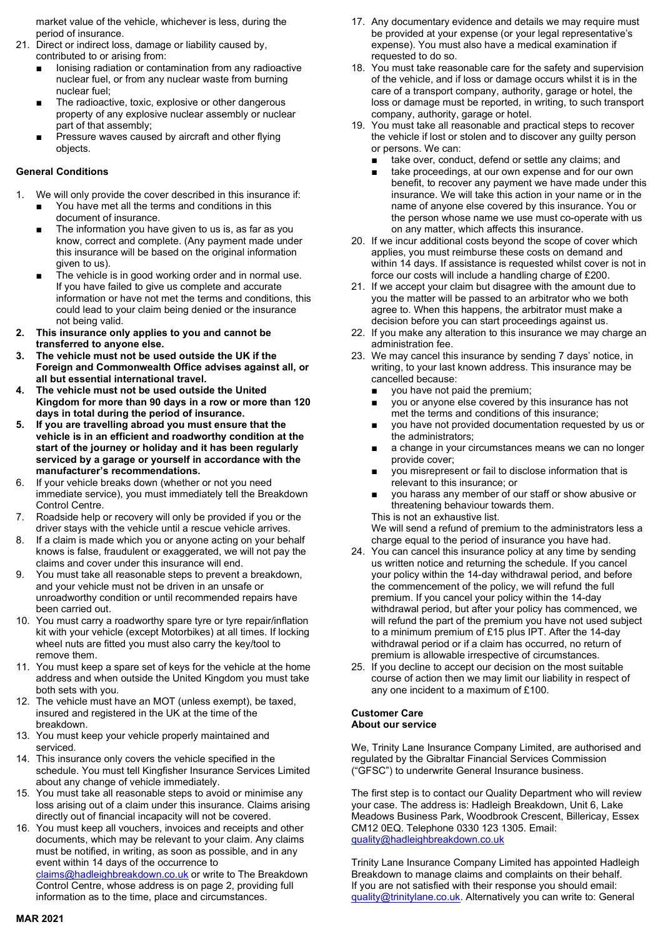market value of the vehicle, whichever is less, during the period of insurance.

- 21. Direct or indirect loss, damage or liability caused by, contributed to or arising from:
	- Ionising radiation or contamination from any radioactive nuclear fuel, or from any nuclear waste from burning nuclear fuel;
	- The radioactive, toxic, explosive or other dangerous property of any explosive nuclear assembly or nuclear part of that assembly;
	- Pressure waves caused by aircraft and other flying objects.

# General Conditions

- 1. We will only provide the cover described in this insurance if:
	- You have met all the terms and conditions in this document of insurance.
	- The information you have given to us is, as far as you know, correct and complete. (Any payment made under this insurance will be based on the original information given to us).
	- The vehicle is in good working order and in normal use. If you have failed to give us complete and accurate information or have not met the terms and conditions, this could lead to your claim being denied or the insurance not being valid.
- 2. This insurance only applies to you and cannot be transferred to anyone else.
- The vehicle must not be used outside the UK if the Foreign and Commonwealth Office advises against all, or all but essential international travel.
- The vehicle must not be used outside the United Kingdom for more than 90 days in a row or more than 120 days in total during the period of insurance.
- 5. If you are travelling abroad you must ensure that the vehicle is in an efficient and roadworthy condition at the start of the journey or holiday and it has been regularly serviced by a garage or yourself in accordance with the manufacturer's recommendations.
- 6. If your vehicle breaks down (whether or not you need immediate service), you must immediately tell the Breakdown Control Centre.
- 7. Roadside help or recovery will only be provided if you or the driver stays with the vehicle until a rescue vehicle arrives.
- 8. If a claim is made which you or anyone acting on your behalf knows is false, fraudulent or exaggerated, we will not pay the claims and cover under this insurance will end.
- 9. You must take all reasonable steps to prevent a breakdown, and your vehicle must not be driven in an unsafe or unroadworthy condition or until recommended repairs have been carried out.
- 10. You must carry a roadworthy spare tyre or tyre repair/inflation kit with your vehicle (except Motorbikes) at all times. If locking wheel nuts are fitted you must also carry the key/tool to remove them.
- 11. You must keep a spare set of keys for the vehicle at the home address and when outside the United Kingdom you must take both sets with you.
- 12. The vehicle must have an MOT (unless exempt), be taxed, insured and registered in the UK at the time of the breakdown.
- 13. You must keep your vehicle properly maintained and serviced.
- 14. This insurance only covers the vehicle specified in the schedule. You must tell Kingfisher Insurance Services Limited about any change of vehicle immediately.
- 15. You must take all reasonable steps to avoid or minimise any loss arising out of a claim under this insurance. Claims arising directly out of financial incapacity will not be covered.
- 16. You must keep all vouchers, invoices and receipts and other documents, which may be relevant to your claim. Any claims must be notified, in writing, as soon as possible, and in any event within 14 days of the occurrence to claims@hadleighbreakdown.co.uk or write to The Breakdown Control Centre, whose address is on page 2, providing full information as to the time, place and circumstances.
- 17. Any documentary evidence and details we may require must be provided at your expense (or your legal representative's expense). You must also have a medical examination if requested to do so.
- 18. You must take reasonable care for the safety and supervision of the vehicle, and if loss or damage occurs whilst it is in the care of a transport company, authority, garage or hotel, the loss or damage must be reported, in writing, to such transport company, authority, garage or hotel.
- 19. You must take all reasonable and practical steps to recover the vehicle if lost or stolen and to discover any guilty person or persons. We can:
	- take over, conduct, defend or settle any claims; and
	- take proceedings, at our own expense and for our own benefit, to recover any payment we have made under this insurance. We will take this action in your name or in the name of anyone else covered by this insurance. You or the person whose name we use must co-operate with us on any matter, which affects this insurance.
- 20. If we incur additional costs beyond the scope of cover which applies, you must reimburse these costs on demand and within 14 days. If assistance is requested whilst cover is not in force our costs will include a handling charge of £200.
- 21. If we accept your claim but disagree with the amount due to you the matter will be passed to an arbitrator who we both agree to. When this happens, the arbitrator must make a decision before you can start proceedings against us.
- 22. If you make any alteration to this insurance we may charge an administration fee.
- 23. We may cancel this insurance by sending 7 days' notice, in writing, to your last known address. This insurance may be cancelled because:
	- you have not paid the premium;
	- you or anyone else covered by this insurance has not met the terms and conditions of this insurance;
	- vou have not provided documentation requested by us or the administrators;
	- a change in your circumstances means we can no longer provide cover;
	- you misrepresent or fail to disclose information that is relevant to this insurance; or
	- you harass any member of our staff or show abusive or threatening behaviour towards them. This is not an exhaustive list.

We will send a refund of premium to the administrators less a charge equal to the period of insurance you have had.

- 24. You can cancel this insurance policy at any time by sending us written notice and returning the schedule. If you cancel your policy within the 14-day withdrawal period, and before the commencement of the policy, we will refund the full premium. If you cancel your policy within the 14-day withdrawal period, but after your policy has commenced, we will refund the part of the premium you have not used subject to a minimum premium of £15 plus IPT. After the 14-day withdrawal period or if a claim has occurred, no return of premium is allowable irrespective of circumstances.
- 25. If you decline to accept our decision on the most suitable course of action then we may limit our liability in respect of any one incident to a maximum of £100.

## Customer Care About our service

We, Trinity Lane Insurance Company Limited, are authorised and regulated by the Gibraltar Financial Services Commission ("GFSC") to underwrite General Insurance business.

The first step is to contact our Quality Department who will review your case. The address is: Hadleigh Breakdown, Unit 6, Lake Meadows Business Park, Woodbrook Crescent, Billericay, Essex CM12 0EQ. Telephone 0330 123 1305. Email: quality@hadleighbreakdown.co.uk

Trinity Lane Insurance Company Limited has appointed Hadleigh Breakdown to manage claims and complaints on their behalf. If you are not satisfied with their response you should email: guality@trinitylane.co.uk. Alternatively you can write to: General